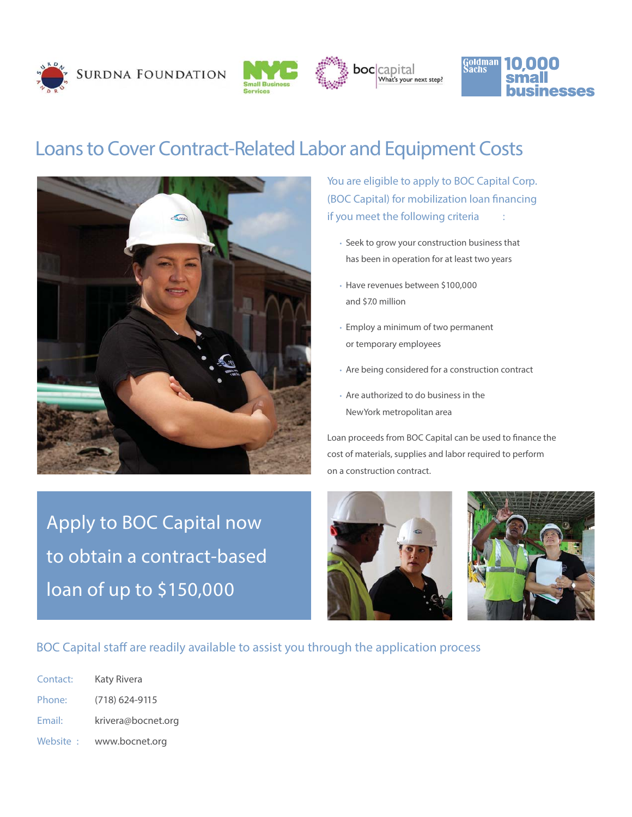







## Loans to Cover Contract-Related Labor and Equipment Costs



**You are eligible to apply to BOC Capital Corp. (BOC Capital) for mobilization loan financing if you meet the following criteria :**

- Seek to grow your construction business that has been in operation for at least two years
- Have revenues between \$100,000 and \$7.0 million
- Employ a minimum of two permanent or temporary employees
- Are being considered for a construction contract
- Are authorized to do business in the New York metropolitan area

Loan proceeds from BOC Capital can be used to finance the cost of materials, supplies and labor required to perform on a construction contract.

Apply to BOC Capital now to obtain a contract-based loan of up to \$150,000





**BOC Capital staff are readily available to assist you through the application process**

| Contact: | Katy Rivera        |
|----------|--------------------|
| Phone:   | $(718)$ 624-9115   |
| Email:   | krivera@bocnet.org |
| Website: | www.bocnet.org     |